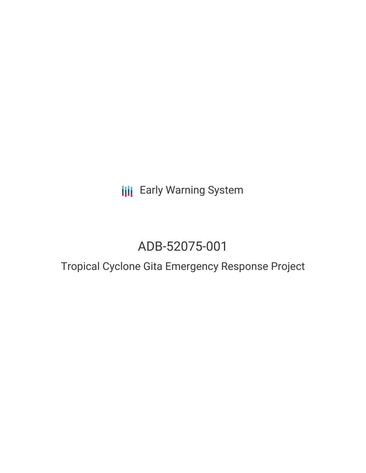**III** Early Warning System

# ADB-52075-001

## Tropical Cyclone Gita Emergency Response Project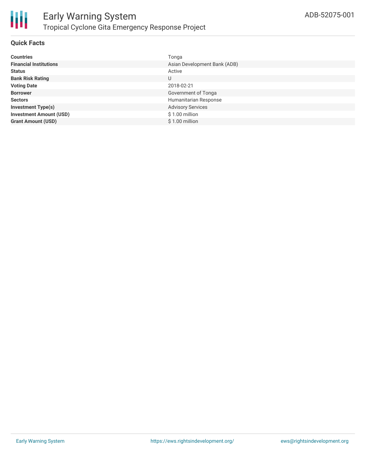

#### **Quick Facts**

| <b>Countries</b>               | Tonga                        |
|--------------------------------|------------------------------|
| <b>Financial Institutions</b>  | Asian Development Bank (ADB) |
| <b>Status</b>                  | Active                       |
| <b>Bank Risk Rating</b>        | U                            |
| <b>Voting Date</b>             | 2018-02-21                   |
| <b>Borrower</b>                | Government of Tonga          |
| <b>Sectors</b>                 | Humanitarian Response        |
| <b>Investment Type(s)</b>      | <b>Advisory Services</b>     |
| <b>Investment Amount (USD)</b> | $$1.00$ million              |
| <b>Grant Amount (USD)</b>      | \$1.00 million               |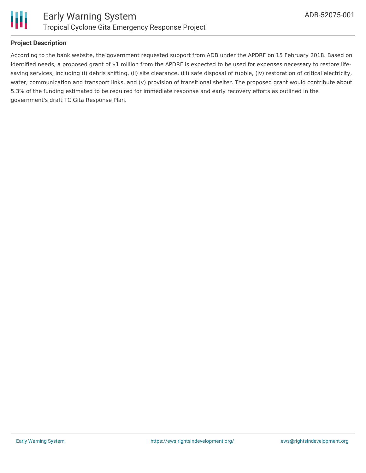

#### **Project Description**

According to the bank website, the government requested support from ADB under the APDRF on 15 February 2018. Based on identified needs, a proposed grant of \$1 million from the APDRF is expected to be used for expenses necessary to restore lifesaving services, including (i) debris shifting, (ii) site clearance, (iii) safe disposal of rubble, (iv) restoration of critical electricity, water, communication and transport links, and (v) provision of transitional shelter. The proposed grant would contribute about 5.3% of the funding estimated to be required for immediate response and early recovery efforts as outlined in the government's draft TC Gita Response Plan.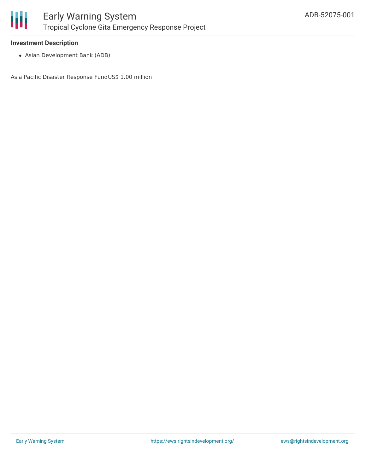

#### **Investment Description**

Asian Development Bank (ADB)

Asia Pacific Disaster Response FundUS\$ 1.00 million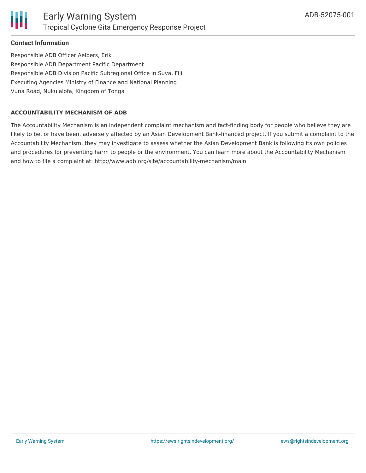

#### **Contact Information**

Responsible ADB Officer Aelbers, Erik Responsible ADB Department Pacific Department Responsible ADB Division Pacific Subregional Office in Suva, Fiji Executing Agencies Ministry of Finance and National Planning Vuna Road, Nuku'alofa, Kingdom of Tonga

#### **ACCOUNTABILITY MECHANISM OF ADB**

The Accountability Mechanism is an independent complaint mechanism and fact-finding body for people who believe they are likely to be, or have been, adversely affected by an Asian Development Bank-financed project. If you submit a complaint to the Accountability Mechanism, they may investigate to assess whether the Asian Development Bank is following its own policies and procedures for preventing harm to people or the environment. You can learn more about the Accountability Mechanism and how to file a complaint at: http://www.adb.org/site/accountability-mechanism/main